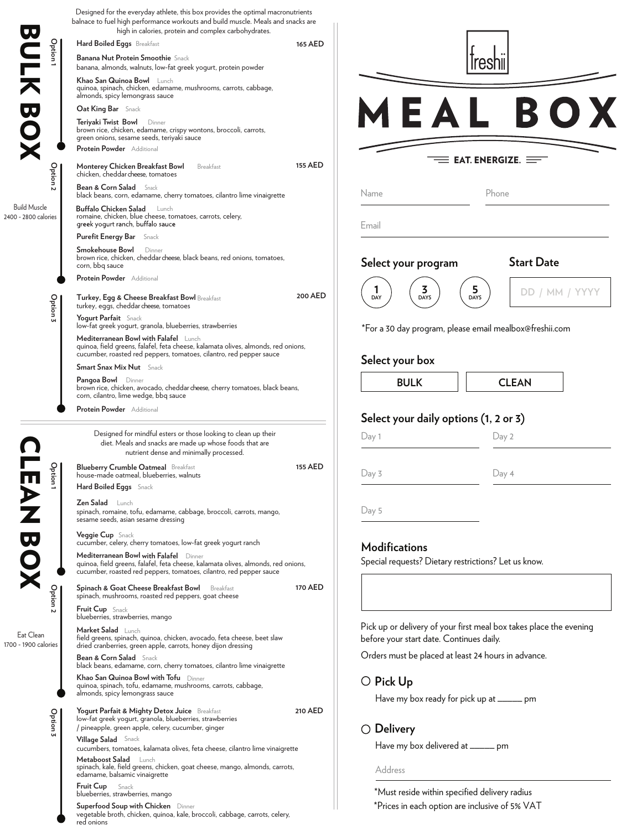| <b>JV</b>                                   | Designed for the everyday athlete, this box provides the optimal macronutrients<br>balnace to fuel high performance workouts and build muscle. Meals and snacks are<br>high in calories, protein and complex carbohydrates. |                |                                                                              |                                                                    |  |
|---------------------------------------------|-----------------------------------------------------------------------------------------------------------------------------------------------------------------------------------------------------------------------------|----------------|------------------------------------------------------------------------------|--------------------------------------------------------------------|--|
| Option                                      | Hard Boiled Eggs Breakfast                                                                                                                                                                                                  | 165 AED        |                                                                              |                                                                    |  |
| <br>大                                       | <b>Banana Nut Protein Smoothie</b> Snack<br>banana, almonds, walnuts, low-fat greek yogurt, protein powder                                                                                                                  |                |                                                                              | reshi                                                              |  |
|                                             | Khao San Quinoa Bowl Lunch<br>quinoa, spinach, chicken, edamame, mushrooms, carrots, cabbage,<br>almonds, spicy lemongrass sauce                                                                                            |                |                                                                              |                                                                    |  |
| $\boldsymbol{\varphi}$                      | Oat King Bar Snack                                                                                                                                                                                                          |                |                                                                              | BO.                                                                |  |
|                                             | Teriyaki Twist Bowl Dinner<br>brown rice, chicken, edamame, crispy wontons, broccoli, carrots,<br>green onions, sesame seeds, teriyaki sauce<br>Protein Powder Additional                                                   |                |                                                                              |                                                                    |  |
|                                             | <b>155 AED</b>                                                                                                                                                                                                              |                | <b>EAT. ENERGIZE.</b> $\equiv$                                               |                                                                    |  |
| Option <sub>2</sub>                         | Monterey Chicken Breakfast Bowl<br>Breakfast<br>chicken, cheddar cheese, tomatoes<br><b>Bean &amp; Corn Salad</b> Snack                                                                                                     |                |                                                                              |                                                                    |  |
|                                             | black beans, corn, edamame, cherry tomatoes, cilantro lime vinaigrette                                                                                                                                                      |                | Name                                                                         | Phone                                                              |  |
| <b>Build Muscle</b><br>2400 - 2800 calories | Buffalo Chicken Salad Lunch<br>romaine, chicken, blue cheese, tomatoes, carrots, celery,<br>greek yogurt ranch, buffalo sauce                                                                                               |                | Email                                                                        |                                                                    |  |
|                                             | <b>Purefit Energy Bar</b> Snack                                                                                                                                                                                             |                |                                                                              |                                                                    |  |
|                                             | Smokehouse Bowl<br>Dinner<br>brown rice, chicken, cheddar cheese, black beans, red onions, tomatoes,<br>corn, bbq sauce                                                                                                     |                | Select your program                                                          | <b>Start Date</b>                                                  |  |
|                                             | Protein Powder Additional                                                                                                                                                                                                   |                |                                                                              |                                                                    |  |
| Option 3                                    | Turkey, Egg & Cheese Breakfast Bowl Breakfast<br>turkey, eggs, cheddar cheese, tomatoes                                                                                                                                     | 200 AED        | 3<br>DAY<br><b>DAYS</b>                                                      | 5.<br>DD / MM / YYYY<br><b>DAYS</b>                                |  |
|                                             | Yogurt Parfait Snack<br>low-fat greek yogurt, granola, blueberries, strawberries<br>Mediterranean Bowl with Falafel Lunch                                                                                                   |                | *For a 30 day program, please email mealbox@freshii.com                      |                                                                    |  |
|                                             | quinoa, field greens, falafel, feta cheese, kalamata olives, almonds, red onions,<br>cucumber, roasted red peppers, tomatoes, cilantro, red pepper sauce                                                                    |                | Select your box                                                              |                                                                    |  |
|                                             | <b>Smart Snax Mix Nut</b> Snack                                                                                                                                                                                             |                |                                                                              |                                                                    |  |
|                                             | Pangoa Bowl Dinner<br>brown rice, chicken, avocado, cheddar cheese, cherry tomatoes, black beans,<br>corn, cilantro, lime wedge, bbq sauce                                                                                  |                | <b>BULK</b>                                                                  | <b>CLEAN</b>                                                       |  |
|                                             | Protein Powder Additional                                                                                                                                                                                                   |                | Select your daily options (1, 2 or 3)                                        |                                                                    |  |
|                                             | Designed for mindful esters or those looking to clean up their                                                                                                                                                              |                |                                                                              |                                                                    |  |
|                                             | diet. Meals and snacks are made up whose foods that are<br>nutrient dense and minimally processed.                                                                                                                          |                | Day 1                                                                        | Day 2                                                              |  |
| 유<br>ion1<br>Ш                              | <b>Blueberry Crumble Oatmeal</b> Breakfast<br>house-made oatmeal, blueberries, walnuts<br>Hard Boiled Eggs Snack                                                                                                            | <b>155 AED</b> | Day 3                                                                        | Day 4                                                              |  |
|                                             | <b>Zen Salad</b> Lunch<br>spinach, romaine, tofu, edamame, cabbage, broccoli, carrots, mango,<br>sesame seeds, asian sesame dressing                                                                                        |                | Day 5                                                                        |                                                                    |  |
| $\boldsymbol{\nabla}$                       | Veggie Cup Snack<br>cucumber, celery, cherry tomatoes, low-fat greek yogurt ranch                                                                                                                                           |                |                                                                              |                                                                    |  |
| $\bullet$                                   | Mediterranean Bowl with Falafel Dinner<br>quinoa, field greens, falafel, feta cheese, kalamata olives, almonds, red onions,<br>cucumber, roasted red peppers, tomatoes, cilantro, red pepper sauce                          |                | <b>Modifications</b><br>Special requests? Dietary restrictions? Let us know. |                                                                    |  |
|                                             | Spinach & Goat Cheese Breakfast Bowl Breakfast                                                                                                                                                                              | 170 AED        |                                                                              |                                                                    |  |
| Option                                      | spinach, mushrooms, roasted red peppers, goat cheese<br><b>Fruit Cup</b> Snack                                                                                                                                              |                |                                                                              |                                                                    |  |
| Eat Clean<br>1700 - 1900 calories           | blueberries, strawberries, mango<br>Market Salad Lunch<br>field greens, spinach, quinoa, chicken, avocado, feta cheese, beet slaw                                                                                           |                | before your start date. Continues daily.                                     | Pick up or delivery of your first meal box takes place the evening |  |
|                                             | dried cranberries, green apple, carrots, honey dijon dressing                                                                                                                                                               |                | Orders must be placed at least 24 hours in advance.                          |                                                                    |  |
|                                             | <b>Bean &amp; Corn Salad</b> Snack<br>black beans, edamame, corn, cherry tomatoes, cilantro lime vinaigrette                                                                                                                |                |                                                                              |                                                                    |  |
|                                             | Khao San Quinoa Bowl with Tofu Dinner<br>quinoa, spinach, tofu, edamame, mushrooms, carrots, cabbage,                                                                                                                       |                | $\bigcirc$ Pick Up                                                           |                                                                    |  |
|                                             | almonds, spicy lemongrass sauce                                                                                                                                                                                             |                | Have my box ready for pick up at _____ pm                                    |                                                                    |  |
| Option <sub>3</sub>                         | Yogurt Parfait & Mighty Detox Juice Breakfast                                                                                                                                                                               | 210 AED        |                                                                              |                                                                    |  |
|                                             | low-fat greek yogurt, granola, blueberries, strawberries<br>/ pineapple, green apple, celery, cucumber, ginger                                                                                                              |                | $\bigcirc$ Delivery                                                          |                                                                    |  |
|                                             | <b>Village Salad</b> Snack<br>cucumbers, tomatoes, kalamata olives, feta cheese, cilantro lime vinaigrette                                                                                                                  |                | Have my box delivered at _____ pm                                            |                                                                    |  |
|                                             | Metaboost Salad Lunch<br>spinach, kale, field greens, chicken, goat cheese, mango, almonds, carrots,<br>edamame, balsamic vinaigrette                                                                                       |                | Address                                                                      |                                                                    |  |
|                                             | <b>Fruit Cup</b> Snack                                                                                                                                                                                                      |                |                                                                              | *Must reside within specified delivery radius                      |  |
|                                             | blueberries, strawberries, mango<br>Superfood Soup with Chicken Dinner                                                                                                                                                      |                | *Prices in each option are inclusive of 5% VAT                               |                                                                    |  |
|                                             | vegetable broth, chicken, quinoa, kale, broccoli, cabbage, carrots, celery,<br>red onions                                                                                                                                   |                |                                                                              |                                                                    |  |